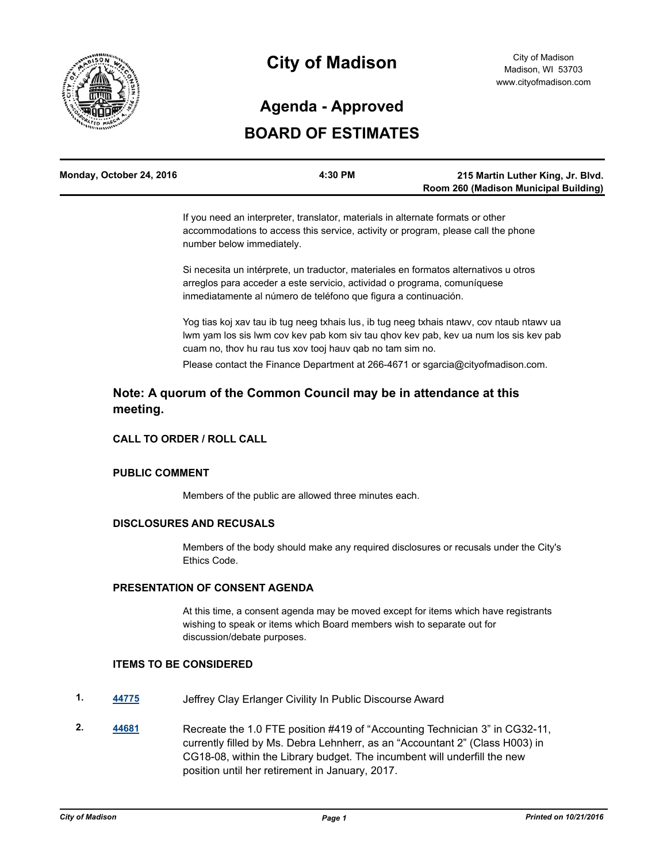

# **City of Madison**

## **BOARD OF ESTIMATES Agenda - Approved**

| Monday, October 24, 2016 | 4:30 PM | 215 Martin Luther King, Jr. Blvd.     |
|--------------------------|---------|---------------------------------------|
|                          |         | Room 260 (Madison Municipal Building) |

If you need an interpreter, translator, materials in alternate formats or other accommodations to access this service, activity or program, please call the phone number below immediately.

Si necesita un intérprete, un traductor, materiales en formatos alternativos u otros arreglos para acceder a este servicio, actividad o programa, comuníquese inmediatamente al número de teléfono que figura a continuación.

Yog tias koj xav tau ib tug neeg txhais lus, ib tug neeg txhais ntawv, cov ntaub ntawv ua lwm yam los sis lwm cov kev pab kom siv tau qhov kev pab, kev ua num los sis kev pab cuam no, thov hu rau tus xov tooj hauv qab no tam sim no.

Please contact the Finance Department at 266-4671 or sgarcia@cityofmadison.com.

### **Note: A quorum of the Common Council may be in attendance at this meeting.**

#### **CALL TO ORDER / ROLL CALL**

#### **PUBLIC COMMENT**

Members of the public are allowed three minutes each.

#### **DISCLOSURES AND RECUSALS**

Members of the body should make any required disclosures or recusals under the City's Ethics Code.

#### **PRESENTATION OF CONSENT AGENDA**

At this time, a consent agenda may be moved except for items which have registrants wishing to speak or items which Board members wish to separate out for discussion/debate purposes.

#### **ITEMS TO BE CONSIDERED**

- **1. [44775](http://madison.legistar.com/gateway.aspx?m=l&id=/matter.aspx?key=48923)** Jeffrey Clay Erlanger Civility In Public Discourse Award
- **2. [44681](http://madison.legistar.com/gateway.aspx?m=l&id=/matter.aspx?key=48833)** Recreate the 1.0 FTE position #419 of "Accounting Technician 3" in CG32-11, currently filled by Ms. Debra Lehnherr, as an "Accountant 2" (Class H003) in CG18-08, within the Library budget. The incumbent will underfill the new position until her retirement in January, 2017.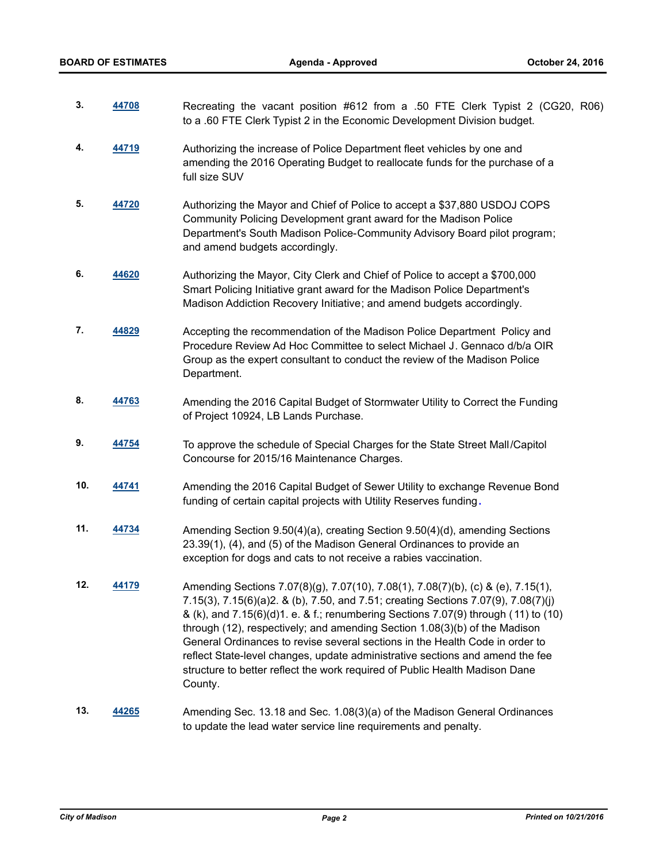**3. [44708](http://madison.legistar.com/gateway.aspx?m=l&id=/matter.aspx?key=48860)** Recreating the vacant position #612 from a .50 FTE Clerk Typist 2 (CG20, R06)

to a .60 FTE Clerk Typist 2 in the Economic Development Division budget.

| 4.  | 44719 | Authorizing the increase of Police Department fleet vehicles by one and<br>amending the 2016 Operating Budget to reallocate funds for the purchase of a<br>full size SUV                                                                                                                                                                                                                                                                                                                                                                                                                              |
|-----|-------|-------------------------------------------------------------------------------------------------------------------------------------------------------------------------------------------------------------------------------------------------------------------------------------------------------------------------------------------------------------------------------------------------------------------------------------------------------------------------------------------------------------------------------------------------------------------------------------------------------|
| 5.  | 44720 | Authorizing the Mayor and Chief of Police to accept a \$37,880 USDOJ COPS<br>Community Policing Development grant award for the Madison Police<br>Department's South Madison Police-Community Advisory Board pilot program;<br>and amend budgets accordingly.                                                                                                                                                                                                                                                                                                                                         |
| 6.  | 44620 | Authorizing the Mayor, City Clerk and Chief of Police to accept a \$700,000<br>Smart Policing Initiative grant award for the Madison Police Department's<br>Madison Addiction Recovery Initiative; and amend budgets accordingly.                                                                                                                                                                                                                                                                                                                                                                     |
| 7.  | 44829 | Accepting the recommendation of the Madison Police Department Policy and<br>Procedure Review Ad Hoc Committee to select Michael J. Gennaco d/b/a OIR<br>Group as the expert consultant to conduct the review of the Madison Police<br>Department.                                                                                                                                                                                                                                                                                                                                                     |
| 8.  | 44763 | Amending the 2016 Capital Budget of Stormwater Utility to Correct the Funding<br>of Project 10924, LB Lands Purchase.                                                                                                                                                                                                                                                                                                                                                                                                                                                                                 |
| 9.  | 44754 | To approve the schedule of Special Charges for the State Street Mall/Capitol<br>Concourse for 2015/16 Maintenance Charges.                                                                                                                                                                                                                                                                                                                                                                                                                                                                            |
| 10. | 44741 | Amending the 2016 Capital Budget of Sewer Utility to exchange Revenue Bond<br>funding of certain capital projects with Utility Reserves funding.                                                                                                                                                                                                                                                                                                                                                                                                                                                      |
| 11. | 44734 | Amending Section 9.50(4)(a), creating Section 9.50(4)(d), amending Sections<br>23.39(1), (4), and (5) of the Madison General Ordinances to provide an<br>exception for dogs and cats to not receive a rabies vaccination.                                                                                                                                                                                                                                                                                                                                                                             |
| 12. | 44179 | Amending Sections 7.07(8)(g), 7.07(10), 7.08(1), 7.08(7)(b), (c) & (e), 7.15(1),<br>7.15(3), 7.15(6)(a)2. & (b), 7.50, and 7.51; creating Sections 7.07(9), 7.08(7)(j)<br>& (k), and 7.15(6)(d)1. e. & f.; renumbering Sections 7.07(9) through (11) to (10)<br>through (12), respectively; and amending Section 1.08(3)(b) of the Madison<br>General Ordinances to revise several sections in the Health Code in order to<br>reflect State-level changes, update administrative sections and amend the fee<br>structure to better reflect the work required of Public Health Madison Dane<br>County. |
| 13. | 44265 | Amending Sec. 13.18 and Sec. 1.08(3)(a) of the Madison General Ordinances<br>to update the lead water service line requirements and penalty.                                                                                                                                                                                                                                                                                                                                                                                                                                                          |